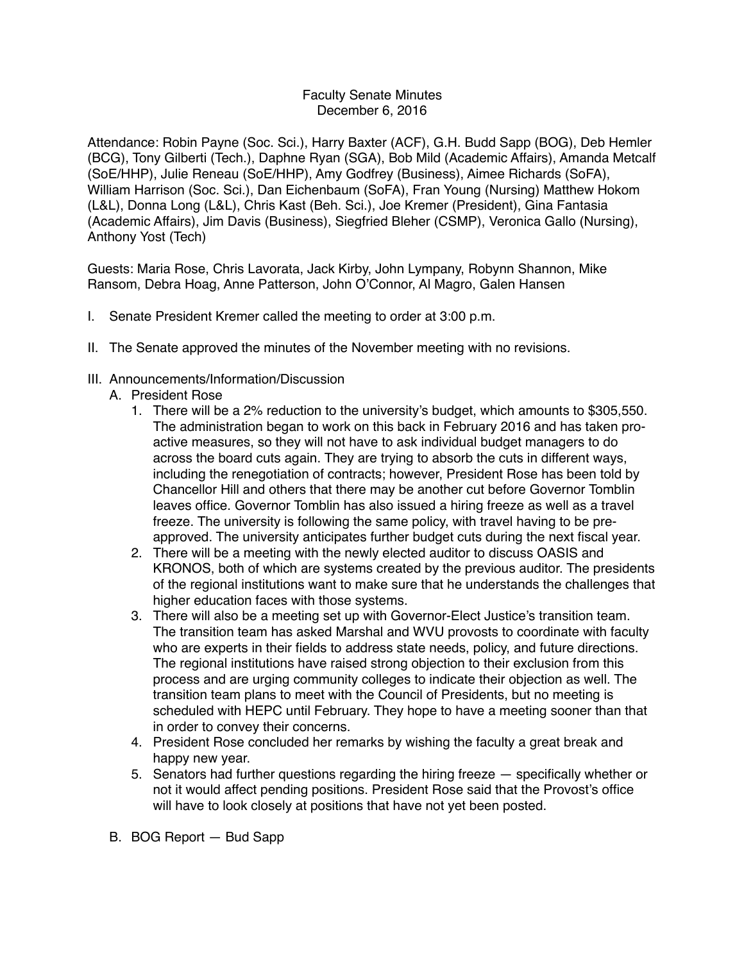## Faculty Senate Minutes December 6, 2016

Attendance: Robin Payne (Soc. Sci.), Harry Baxter (ACF), G.H. Budd Sapp (BOG), Deb Hemler (BCG), Tony Gilberti (Tech.), Daphne Ryan (SGA), Bob Mild (Academic Affairs), Amanda Metcalf (SoE/HHP), Julie Reneau (SoE/HHP), Amy Godfrey (Business), Aimee Richards (SoFA), William Harrison (Soc. Sci.), Dan Eichenbaum (SoFA), Fran Young (Nursing) Matthew Hokom (L&L), Donna Long (L&L), Chris Kast (Beh. Sci.), Joe Kremer (President), Gina Fantasia (Academic Affairs), Jim Davis (Business), Siegfried Bleher (CSMP), Veronica Gallo (Nursing), Anthony Yost (Tech)

Guests: Maria Rose, Chris Lavorata, Jack Kirby, John Lympany, Robynn Shannon, Mike Ransom, Debra Hoag, Anne Patterson, John O'Connor, Al Magro, Galen Hansen

- I. Senate President Kremer called the meeting to order at 3:00 p.m.
- II. The Senate approved the minutes of the November meeting with no revisions.
- III. Announcements/Information/Discussion
	- A. President Rose
		- 1. There will be a 2% reduction to the university's budget, which amounts to \$305,550. The administration began to work on this back in February 2016 and has taken proactive measures, so they will not have to ask individual budget managers to do across the board cuts again. They are trying to absorb the cuts in different ways, including the renegotiation of contracts; however, President Rose has been told by Chancellor Hill and others that there may be another cut before Governor Tomblin leaves office. Governor Tomblin has also issued a hiring freeze as well as a travel freeze. The university is following the same policy, with travel having to be preapproved. The university anticipates further budget cuts during the next fiscal year.
		- 2. There will be a meeting with the newly elected auditor to discuss OASIS and KRONOS, both of which are systems created by the previous auditor. The presidents of the regional institutions want to make sure that he understands the challenges that higher education faces with those systems.
		- 3. There will also be a meeting set up with Governor-Elect Justice's transition team. The transition team has asked Marshal and WVU provosts to coordinate with faculty who are experts in their fields to address state needs, policy, and future directions. The regional institutions have raised strong objection to their exclusion from this process and are urging community colleges to indicate their objection as well. The transition team plans to meet with the Council of Presidents, but no meeting is scheduled with HEPC until February. They hope to have a meeting sooner than that in order to convey their concerns.
		- 4. President Rose concluded her remarks by wishing the faculty a great break and happy new year.
		- 5. Senators had further questions regarding the hiring freeze specifically whether or not it would affect pending positions. President Rose said that the Provost's office will have to look closely at positions that have not yet been posted.
	- B. BOG Report Bud Sapp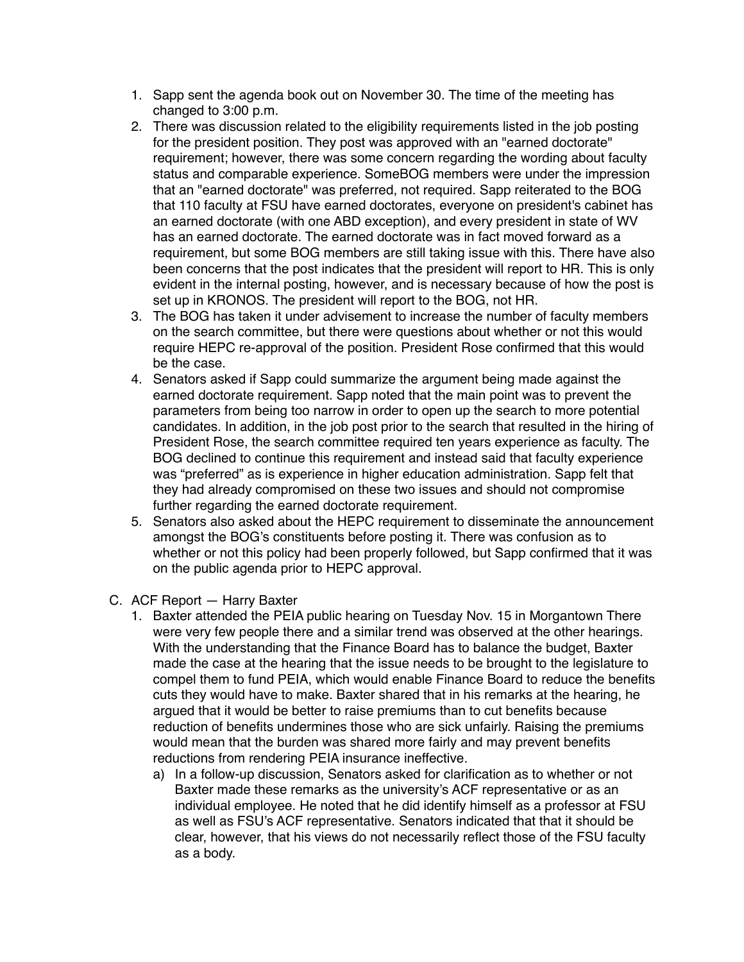- 1. Sapp sent the agenda book out on November 30. The time of the meeting has changed to 3:00 p.m.
- 2. There was discussion related to the eligibility requirements listed in the job posting for the president position. They post was approved with an "earned doctorate" requirement; however, there was some concern regarding the wording about faculty status and comparable experience. SomeBOG members were under the impression that an "earned doctorate" was preferred, not required. Sapp reiterated to the BOG that 110 faculty at FSU have earned doctorates, everyone on president's cabinet has an earned doctorate (with one ABD exception), and every president in state of WV has an earned doctorate. The earned doctorate was in fact moved forward as a requirement, but some BOG members are still taking issue with this. There have also been concerns that the post indicates that the president will report to HR. This is only evident in the internal posting, however, and is necessary because of how the post is set up in KRONOS. The president will report to the BOG, not HR.
- 3. The BOG has taken it under advisement to increase the number of faculty members on the search committee, but there were questions about whether or not this would require HEPC re-approval of the position. President Rose confirmed that this would be the case.
- 4. Senators asked if Sapp could summarize the argument being made against the earned doctorate requirement. Sapp noted that the main point was to prevent the parameters from being too narrow in order to open up the search to more potential candidates. In addition, in the job post prior to the search that resulted in the hiring of President Rose, the search committee required ten years experience as faculty. The BOG declined to continue this requirement and instead said that faculty experience was "preferred" as is experience in higher education administration. Sapp felt that they had already compromised on these two issues and should not compromise further regarding the earned doctorate requirement.
- 5. Senators also asked about the HEPC requirement to disseminate the announcement amongst the BOG's constituents before posting it. There was confusion as to whether or not this policy had been properly followed, but Sapp confirmed that it was on the public agenda prior to HEPC approval.
- C. ACF Report Harry Baxter
	- 1. Baxter attended the PEIA public hearing on Tuesday Nov. 15 in Morgantown There were very few people there and a similar trend was observed at the other hearings. With the understanding that the Finance Board has to balance the budget, Baxter made the case at the hearing that the issue needs to be brought to the legislature to compel them to fund PEIA, which would enable Finance Board to reduce the benefits cuts they would have to make. Baxter shared that in his remarks at the hearing, he argued that it would be better to raise premiums than to cut benefits because reduction of benefits undermines those who are sick unfairly. Raising the premiums would mean that the burden was shared more fairly and may prevent benefits reductions from rendering PEIA insurance ineffective.
		- a) In a follow-up discussion, Senators asked for clarification as to whether or not Baxter made these remarks as the university's ACF representative or as an individual employee. He noted that he did identify himself as a professor at FSU as well as FSU's ACF representative. Senators indicated that that it should be clear, however, that his views do not necessarily reflect those of the FSU faculty as a body.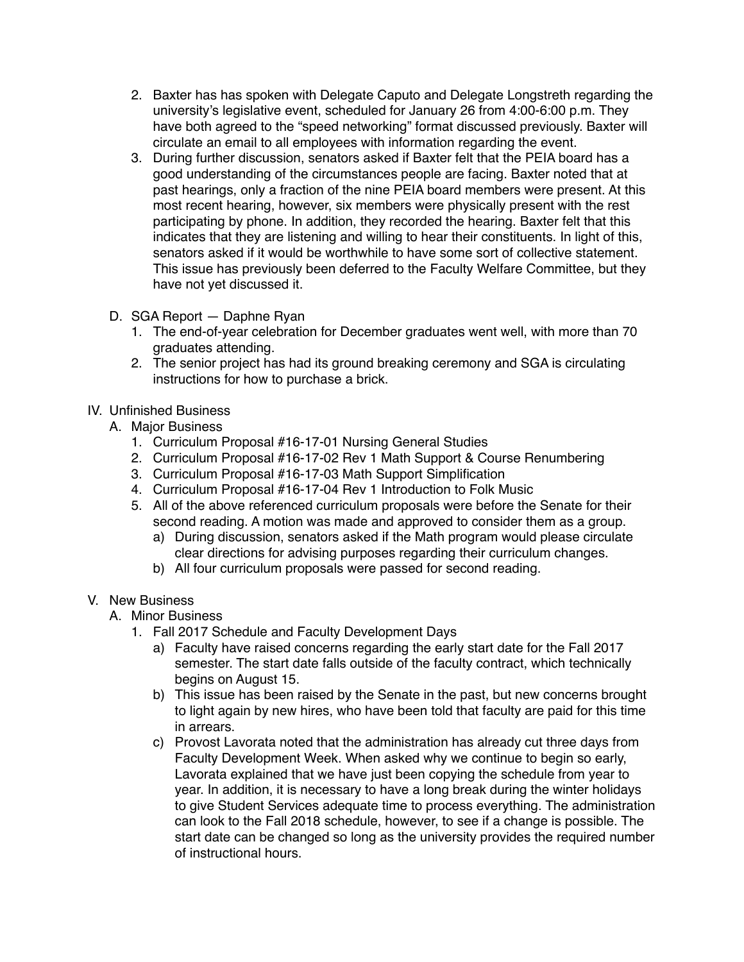- 2. Baxter has has spoken with Delegate Caputo and Delegate Longstreth regarding the university's legislative event, scheduled for January 26 from 4:00-6:00 p.m. They have both agreed to the "speed networking" format discussed previously. Baxter will circulate an email to all employees with information regarding the event.
- 3. During further discussion, senators asked if Baxter felt that the PEIA board has a good understanding of the circumstances people are facing. Baxter noted that at past hearings, only a fraction of the nine PEIA board members were present. At this most recent hearing, however, six members were physically present with the rest participating by phone. In addition, they recorded the hearing. Baxter felt that this indicates that they are listening and willing to hear their constituents. In light of this, senators asked if it would be worthwhile to have some sort of collective statement. This issue has previously been deferred to the Faculty Welfare Committee, but they have not yet discussed it.
- D. SGA Report Daphne Ryan
	- 1. The end-of-year celebration for December graduates went well, with more than 70 graduates attending.
	- 2. The senior project has had its ground breaking ceremony and SGA is circulating instructions for how to purchase a brick.

## IV. Unfinished Business

- A. Major Business
	- 1. Curriculum Proposal #16-17-01 Nursing General Studies
	- 2. Curriculum Proposal #16-17-02 Rev 1 Math Support & Course Renumbering
	- 3. Curriculum Proposal #16-17-03 Math Support Simplification
	- 4. Curriculum Proposal #16-17-04 Rev 1 Introduction to Folk Music
	- 5. All of the above referenced curriculum proposals were before the Senate for their second reading. A motion was made and approved to consider them as a group.
		- a) During discussion, senators asked if the Math program would please circulate clear directions for advising purposes regarding their curriculum changes.
		- b) All four curriculum proposals were passed for second reading.

## V. New Business

- A. Minor Business
	- 1. Fall 2017 Schedule and Faculty Development Days
		- a) Faculty have raised concerns regarding the early start date for the Fall 2017 semester. The start date falls outside of the faculty contract, which technically begins on August 15.
		- b) This issue has been raised by the Senate in the past, but new concerns brought to light again by new hires, who have been told that faculty are paid for this time in arrears.
		- c) Provost Lavorata noted that the administration has already cut three days from Faculty Development Week. When asked why we continue to begin so early, Lavorata explained that we have just been copying the schedule from year to year. In addition, it is necessary to have a long break during the winter holidays to give Student Services adequate time to process everything. The administration can look to the Fall 2018 schedule, however, to see if a change is possible. The start date can be changed so long as the university provides the required number of instructional hours.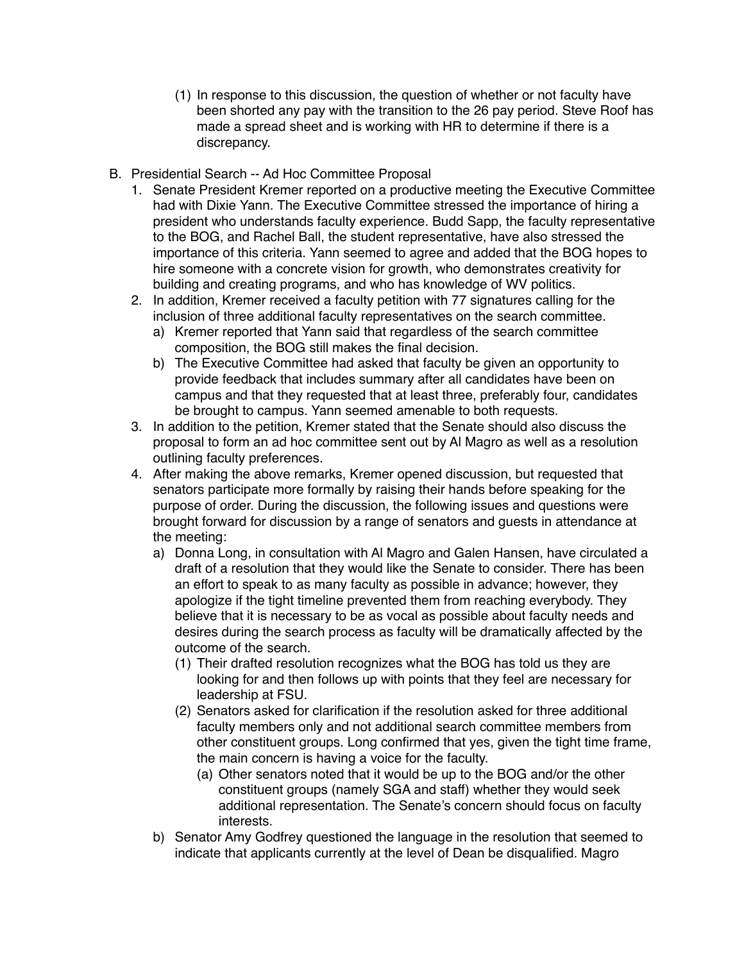- (1) In response to this discussion, the question of whether or not faculty have been shorted any pay with the transition to the 26 pay period. Steve Roof has made a spread sheet and is working with HR to determine if there is a discrepancy.
- B. Presidential Search -- Ad Hoc Committee Proposal
	- 1. Senate President Kremer reported on a productive meeting the Executive Committee had with Dixie Yann. The Executive Committee stressed the importance of hiring a president who understands faculty experience. Budd Sapp, the faculty representative to the BOG, and Rachel Ball, the student representative, have also stressed the importance of this criteria. Yann seemed to agree and added that the BOG hopes to hire someone with a concrete vision for growth, who demonstrates creativity for building and creating programs, and who has knowledge of WV politics.
	- 2. In addition, Kremer received a faculty petition with 77 signatures calling for the inclusion of three additional faculty representatives on the search committee.
		- a) Kremer reported that Yann said that regardless of the search committee composition, the BOG still makes the final decision.
		- b) The Executive Committee had asked that faculty be given an opportunity to provide feedback that includes summary after all candidates have been on campus and that they requested that at least three, preferably four, candidates be brought to campus. Yann seemed amenable to both requests.
	- 3. In addition to the petition, Kremer stated that the Senate should also discuss the proposal to form an ad hoc committee sent out by Al Magro as well as a resolution outlining faculty preferences.
	- 4. After making the above remarks, Kremer opened discussion, but requested that senators participate more formally by raising their hands before speaking for the purpose of order. During the discussion, the following issues and questions were brought forward for discussion by a range of senators and guests in attendance at the meeting:
		- a) Donna Long, in consultation with Al Magro and Galen Hansen, have circulated a draft of a resolution that they would like the Senate to consider. There has been an effort to speak to as many faculty as possible in advance; however, they apologize if the tight timeline prevented them from reaching everybody. They believe that it is necessary to be as vocal as possible about faculty needs and desires during the search process as faculty will be dramatically affected by the outcome of the search.
			- (1) Their drafted resolution recognizes what the BOG has told us they are looking for and then follows up with points that they feel are necessary for leadership at FSU.
			- (2) Senators asked for clarification if the resolution asked for three additional faculty members only and not additional search committee members from other constituent groups. Long confirmed that yes, given the tight time frame, the main concern is having a voice for the faculty.
				- (a) Other senators noted that it would be up to the BOG and/or the other constituent groups (namely SGA and staff) whether they would seek additional representation. The Senate's concern should focus on faculty interests.
		- b) Senator Amy Godfrey questioned the language in the resolution that seemed to indicate that applicants currently at the level of Dean be disqualified. Magro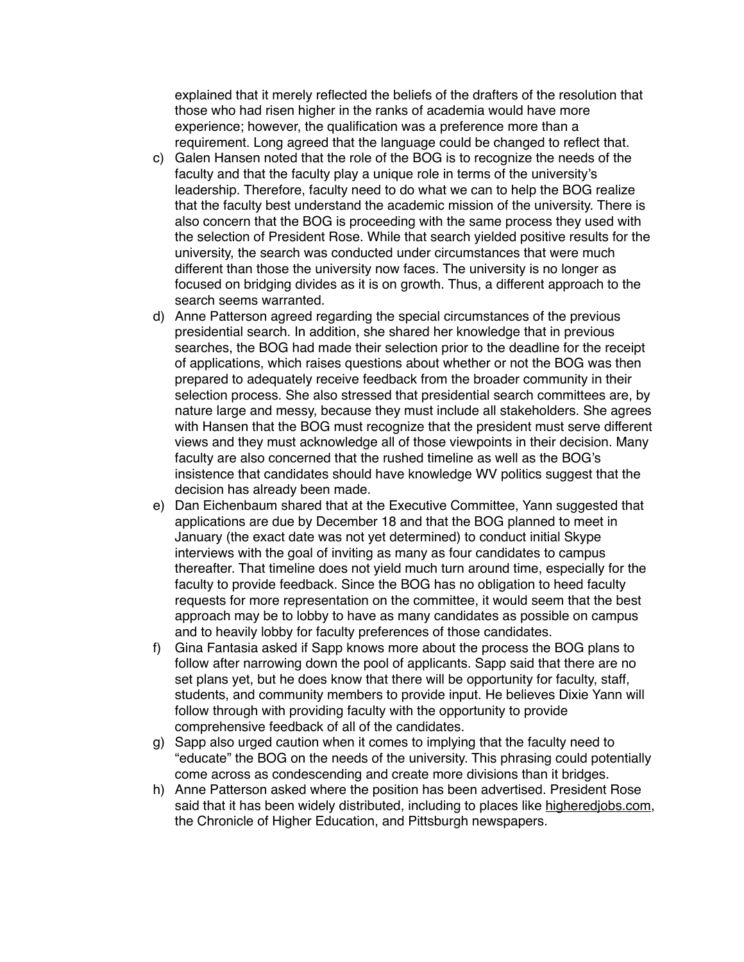explained that it merely reflected the beliefs of the drafters of the resolution that those who had risen higher in the ranks of academia would have more experience; however, the qualification was a preference more than a requirement. Long agreed that the language could be changed to reflect that.

- c) Galen Hansen noted that the role of the BOG is to recognize the needs of the faculty and that the faculty play a unique role in terms of the university's leadership. Therefore, faculty need to do what we can to help the BOG realize that the faculty best understand the academic mission of the university. There is also concern that the BOG is proceeding with the same process they used with the selection of President Rose. While that search yielded positive results for the university, the search was conducted under circumstances that were much different than those the university now faces. The university is no longer as focused on bridging divides as it is on growth. Thus, a different approach to the search seems warranted.
- d) Anne Patterson agreed regarding the special circumstances of the previous presidential search. In addition, she shared her knowledge that in previous searches, the BOG had made their selection prior to the deadline for the receipt of applications, which raises questions about whether or not the BOG was then prepared to adequately receive feedback from the broader community in their selection process. She also stressed that presidential search committees are, by nature large and messy, because they must include all stakeholders. She agrees with Hansen that the BOG must recognize that the president must serve different views and they must acknowledge all of those viewpoints in their decision. Many faculty are also concerned that the rushed timeline as well as the BOG's insistence that candidates should have knowledge WV politics suggest that the decision has already been made.
- e) Dan Eichenbaum shared that at the Executive Committee, Yann suggested that applications are due by December 18 and that the BOG planned to meet in January (the exact date was not yet determined) to conduct initial Skype interviews with the goal of inviting as many as four candidates to campus thereafter. That timeline does not yield much turn around time, especially for the faculty to provide feedback. Since the BOG has no obligation to heed faculty requests for more representation on the committee, it would seem that the best approach may be to lobby to have as many candidates as possible on campus and to heavily lobby for faculty preferences of those candidates.
- f) Gina Fantasia asked if Sapp knows more about the process the BOG plans to follow after narrowing down the pool of applicants. Sapp said that there are no set plans yet, but he does know that there will be opportunity for faculty, staff, students, and community members to provide input. He believes Dixie Yann will follow through with providing faculty with the opportunity to provide comprehensive feedback of all of the candidates.
- g) Sapp also urged caution when it comes to implying that the faculty need to "educate" the BOG on the needs of the university. This phrasing could potentially come across as condescending and create more divisions than it bridges.
- h) Anne Patterson asked where the position has been advertised. President Rose said that it has been widely distributed, including to places like [higheredjobs.com,](http://higheredjobs.com) the Chronicle of Higher Education, and Pittsburgh newspapers.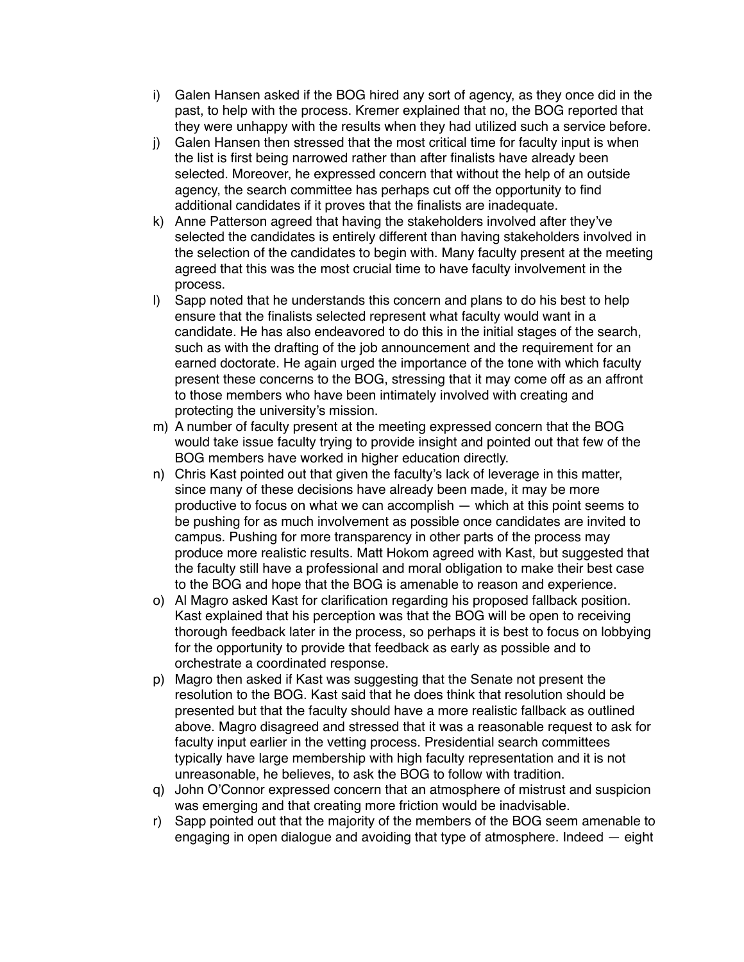- i) Galen Hansen asked if the BOG hired any sort of agency, as they once did in the past, to help with the process. Kremer explained that no, the BOG reported that they were unhappy with the results when they had utilized such a service before.
- j) Galen Hansen then stressed that the most critical time for faculty input is when the list is first being narrowed rather than after finalists have already been selected. Moreover, he expressed concern that without the help of an outside agency, the search committee has perhaps cut off the opportunity to find additional candidates if it proves that the finalists are inadequate.
- k) Anne Patterson agreed that having the stakeholders involved after they've selected the candidates is entirely different than having stakeholders involved in the selection of the candidates to begin with. Many faculty present at the meeting agreed that this was the most crucial time to have faculty involvement in the process.
- l) Sapp noted that he understands this concern and plans to do his best to help ensure that the finalists selected represent what faculty would want in a candidate. He has also endeavored to do this in the initial stages of the search, such as with the drafting of the job announcement and the requirement for an earned doctorate. He again urged the importance of the tone with which faculty present these concerns to the BOG, stressing that it may come off as an affront to those members who have been intimately involved with creating and protecting the university's mission.
- m) A number of faculty present at the meeting expressed concern that the BOG would take issue faculty trying to provide insight and pointed out that few of the BOG members have worked in higher education directly.
- n) Chris Kast pointed out that given the faculty's lack of leverage in this matter, since many of these decisions have already been made, it may be more productive to focus on what we can accomplish — which at this point seems to be pushing for as much involvement as possible once candidates are invited to campus. Pushing for more transparency in other parts of the process may produce more realistic results. Matt Hokom agreed with Kast, but suggested that the faculty still have a professional and moral obligation to make their best case to the BOG and hope that the BOG is amenable to reason and experience.
- o) Al Magro asked Kast for clarification regarding his proposed fallback position. Kast explained that his perception was that the BOG will be open to receiving thorough feedback later in the process, so perhaps it is best to focus on lobbying for the opportunity to provide that feedback as early as possible and to orchestrate a coordinated response.
- p) Magro then asked if Kast was suggesting that the Senate not present the resolution to the BOG. Kast said that he does think that resolution should be presented but that the faculty should have a more realistic fallback as outlined above. Magro disagreed and stressed that it was a reasonable request to ask for faculty input earlier in the vetting process. Presidential search committees typically have large membership with high faculty representation and it is not unreasonable, he believes, to ask the BOG to follow with tradition.
- q) John O'Connor expressed concern that an atmosphere of mistrust and suspicion was emerging and that creating more friction would be inadvisable.
- r) Sapp pointed out that the majority of the members of the BOG seem amenable to engaging in open dialogue and avoiding that type of atmosphere. Indeed — eight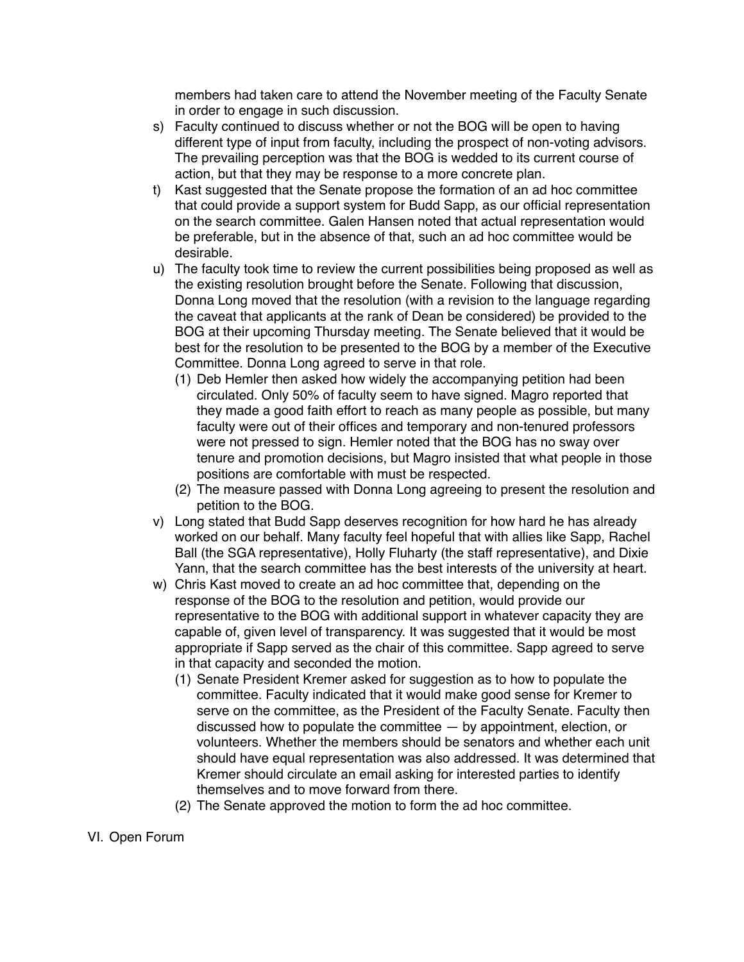members had taken care to attend the November meeting of the Faculty Senate in order to engage in such discussion.

- s) Faculty continued to discuss whether or not the BOG will be open to having different type of input from faculty, including the prospect of non-voting advisors. The prevailing perception was that the BOG is wedded to its current course of action, but that they may be response to a more concrete plan.
- t) Kast suggested that the Senate propose the formation of an ad hoc committee that could provide a support system for Budd Sapp, as our official representation on the search committee. Galen Hansen noted that actual representation would be preferable, but in the absence of that, such an ad hoc committee would be desirable.
- u) The faculty took time to review the current possibilities being proposed as well as the existing resolution brought before the Senate. Following that discussion, Donna Long moved that the resolution (with a revision to the language regarding the caveat that applicants at the rank of Dean be considered) be provided to the BOG at their upcoming Thursday meeting. The Senate believed that it would be best for the resolution to be presented to the BOG by a member of the Executive Committee. Donna Long agreed to serve in that role.
	- (1) Deb Hemler then asked how widely the accompanying petition had been circulated. Only 50% of faculty seem to have signed. Magro reported that they made a good faith effort to reach as many people as possible, but many faculty were out of their offices and temporary and non-tenured professors were not pressed to sign. Hemler noted that the BOG has no sway over tenure and promotion decisions, but Magro insisted that what people in those positions are comfortable with must be respected.
	- (2) The measure passed with Donna Long agreeing to present the resolution and petition to the BOG.
- v) Long stated that Budd Sapp deserves recognition for how hard he has already worked on our behalf. Many faculty feel hopeful that with allies like Sapp, Rachel Ball (the SGA representative), Holly Fluharty (the staff representative), and Dixie Yann, that the search committee has the best interests of the university at heart.
- w) Chris Kast moved to create an ad hoc committee that, depending on the response of the BOG to the resolution and petition, would provide our representative to the BOG with additional support in whatever capacity they are capable of, given level of transparency. It was suggested that it would be most appropriate if Sapp served as the chair of this committee. Sapp agreed to serve in that capacity and seconded the motion.
	- (1) Senate President Kremer asked for suggestion as to how to populate the committee. Faculty indicated that it would make good sense for Kremer to serve on the committee, as the President of the Faculty Senate. Faculty then discussed how to populate the committee — by appointment, election, or volunteers. Whether the members should be senators and whether each unit should have equal representation was also addressed. It was determined that Kremer should circulate an email asking for interested parties to identify themselves and to move forward from there.
	- (2) The Senate approved the motion to form the ad hoc committee.

## VI. Open Forum